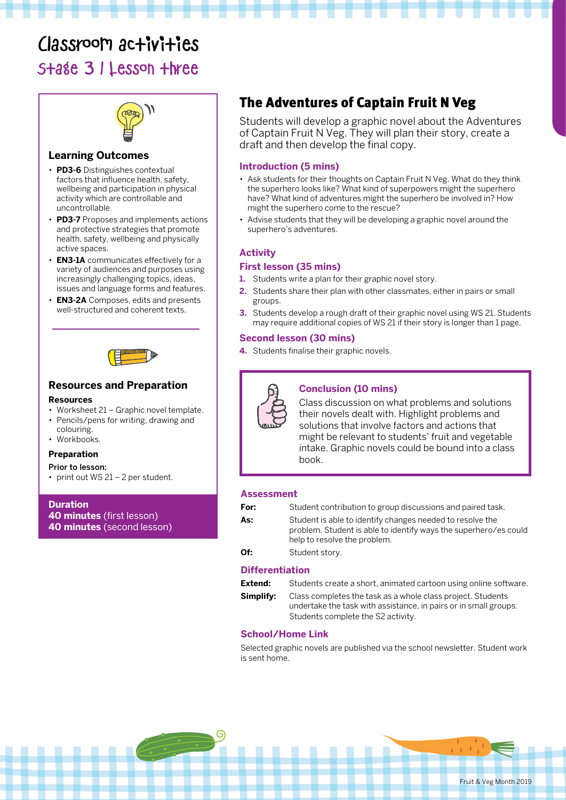# Classroom activities

Stage 3 | Lesson three



#### **Learning Outcomes**

- **PD3-6** Distinguishes contextual factors that influence health, safety, wellbeing and participation in physical activity which are controllable and uncontrollable.
- **PD3-7** Proposes and implements actions and protective strategies that promote health, safety, wellbeing and physically active spaces.
- **EN3-1A** communicates effectively for a variety of audiences and purposes using increasingly challenging topics, ideas, issues and language forms and features.
- **EN3-2A** Composes, edits and presents well-structured and coherent texts.



# **Resources and Preparation**

#### **Resources**

- Worksheet 21 Graphic novel template. • Pencils/pens for writing, drawing and
- colouring. • Workbooks.

### **Preparation**

#### Prior to lesson:

• print out WS 21 – 2 per student.

**Duration 40 minutes** (first lesson) **40 minutes** (second lesson)

## The Adventures of Captain Fruit N Veg

Students will develop a graphic novel about the Adventures of Captain Fruit N Veg. They will plan their story, create a draft and then develop the final copy.

#### **Introduction (5 mins)**

- Ask students for their thoughts on Captain Fruit N Veg. What do they think the superhero looks like? What kind of superpowers might the superhero have? What kind of adventures might the superhero be involved in? How might the superhero come to the rescue?
- Advise students that they will be developing a graphic novel around the superhero's adventures.

#### **Activity**

#### **First lesson (35 mins)**

- **1.** Students write a plan for their graphic novel story.
- **2.** Students share their plan with other classmates, either in pairs or small groups.
- **3.** Students develop a rough draft of their graphic novel using WS 21. Students may require additional copies of WS 21 if their story is longer than 1 page.

#### **Second lesson (30 mins)**

**4.** Students finalise their graphic novels.



#### **Conclusion (10 mins)**

Class discussion on what problems and solutions their novels dealt with. Highlight problems and solutions that involve factors and actions that might be relevant to students' fruit and vegetable intake. Graphic novels could be bound into a class book.

#### **Assessment**

| For: | Student contribution to group discussions and paired task.                                                                                                    |
|------|---------------------------------------------------------------------------------------------------------------------------------------------------------------|
| As:  | Student is able to identify changes needed to resolve the<br>problem. Student is able to identify ways the superhero/es could<br>help to resolve the problem. |
| Of:  | Student story.                                                                                                                                                |

#### **Differentiation**

| Extend:   | Students create a short, animated cartoon using online software.                                                                                                      |
|-----------|-----------------------------------------------------------------------------------------------------------------------------------------------------------------------|
| Simplify: | Class completes the task as a whole class project. Students<br>undertake the task with assistance, in pairs or in small groups.<br>Students complete the S2 activity. |

#### **School/Home Link**

Selected graphic novels are published via the school newsletter. Student work is sent home.